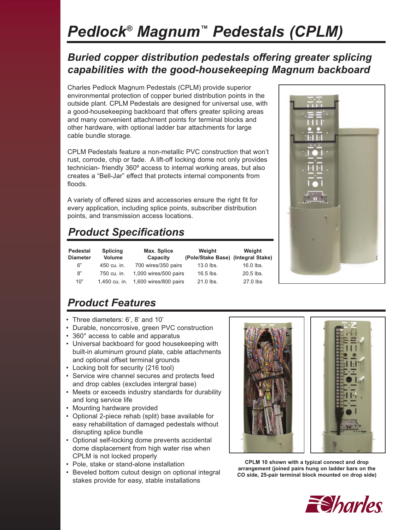# *Pedlock® Magnum™ Pedestals (CPLM)*

### *Buried copper distribution pedestals offering greater splicing capabilities with the good-housekeeping Magnum backboard*

Charles Pedlock Magnum Pedestals (CPLM) provide superior environmental protection of copper buried distribution points in the outside plant. CPLM Pedestals are designed for universal use, with a good-housekeeping backboard that offers greater splicing areas and many convenient attachment points for terminal blocks and other hardware, with optional ladder bar attachments for large cable bundle storage.

CPLM Pedestals feature a non-metallic PVC construction that won't rust, corrode, chip or fade. A lift-off locking dome not only provides technician- friendly 360º access to internal working areas, but also creates a "Bell-Jar" effect that protects internal components from floods.

A variety of offered sizes and accessories ensure the right fit for every application, including splice points, subscriber distribution points, and transmission access locations.

## *Product Specifications*

| Pedestal<br><b>Diameter</b> | <b>Splicing</b><br><b>Volume</b> | Max. Splice<br>Capacity | Weight<br>(Pole/Stake Base) (Integral Stake) | Weight    |
|-----------------------------|----------------------------------|-------------------------|----------------------------------------------|-----------|
| 6"                          | 450 cu. in.                      | 700 wires/350 pairs     | $13.0$ lbs.                                  | 16.0 lbs. |
| 8"                          | 750 cu. in.                      | 1,000 wires/500 pairs   | $16.5$ lbs.                                  | 20.5 lbs. |
| 10"                         | 1,450 cu. in.                    | 1,600 wires/800 pairs   | $21.0$ lbs.                                  | 27.0 lbs  |



### *Product Features*

- Three diameters: 6', 8' and 10'
- Durable, noncorrosive, green PVC construction
- 360° access to cable and apparatus
- Universal backboard for good housekeeping with built-in aluminum ground plate, cable attachments and optional offset terminal grounds
- Locking bolt for security (216 tool)
- Service wire channel secures and protects feed and drop cables (excludes intergral base)
- Meets or exceeds industry standards for durability and long service life
- Mounting hardware provided
- Optional 2-piece rehab (split) base available for easy rehabilitation of damaged pedestals without disrupting splice bundle
- Optional self-locking dome prevents accidental dome displacement from high water rise when CPLM is not locked properly
- Pole, stake or stand-alone installation
- Beveled bottom cutout design on optional integral stakes provide for easy, stable installations



**CPLM 10 shown with a typical connect and drop arrangement (joined pairs hung on ladder bars on the CO side, 25-pair terminal block mounted on drop side)**